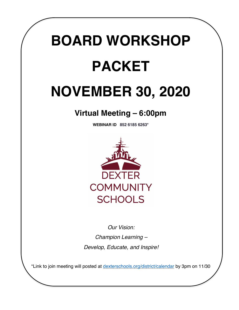# **BOARD WORKSHOP PACKET**

## **NOVEMBER 30, 2020**

### **Virtual Meeting – 6:00pm**

**WEBINAR ID 852 6185 6263\***



*Our Vision: Champion Learning – Develop, Educate, and Inspire!*

\*Link to join meeting will posted at dexterschools.org/district/calendar by 3pm on 11/30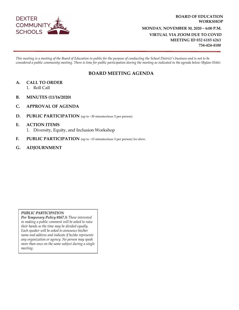

#### **BOARD OF EDUCATION WORKSHOP MONDAY, NOVEMBER 30, 2020 – 6:00 P.M. VIRTUAL VIA ZOOM DUE TO COVID MEETING ID 852 6185 6263 734-424-4100**

*This meeting is a meeting of the Board of Education in public for the purpose of conducting the School District's business and is not to be considered a public community meeting. There is time for public participation during the meeting as indicated in the agenda below (Bylaw 0166).*

#### **BOARD MEETING AGENDA**

- **A. CALL TO ORDER**
	- 1. Roll Call
- **B. MINUTES (11/16/2020)**
- **C. APPROVAL OF AGENDA**
- **D. PUBLIC PARTICIPATION** (up to ~30 minutes/max 5 per person)

#### **E. ACTION ITEMS** 1. Diversity, Equity, and Inclusion Workshop

- **F. PUBLIC PARTICIPATION** (up to ~15 minutes/max 3 per person) *See above.*
- **G. ADJOURNMENT**

#### PUBLIC PARTICIPATION

Per Temporary Policy 0167.3: Those interested in making a public comment will be asked to raise their hands so the time may be divided equally. Each speaker will be asked to announce his/her name and address and indicate if he/she represents any organization or agency. No person may speak more than once on the same subject during a single meeting.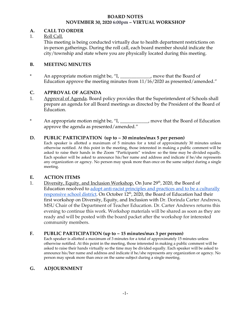#### **BOARD NOTES NOVEMBER 30, 2020 6:00pm – VIRTUAL WORKSHOP**

#### **A. CALL TO ORDER**

#### 1. Roll Call.

This meeting is being conducted virtually due to health department restrictions on in-person gatherings. During the roll call, each board member should indicate the city/township and state where you are physically located during this meeting.

#### **B. MEETING MINUTES**

\* An appropriate motion might be, "I, \_\_\_\_\_\_\_\_\_\_\_\_\_, move that the Board of Education approve the meeting minutes from 11/16/2020 as presented/amended."

#### **C. APPROVAL OF AGENDA**

- 1. Approval of Agenda. Board policy provides that the Superintendent of Schools shall prepare an agenda for all Board meetings as directed by the President of the Board of Education.
- \* An appropriate motion might be, "I, \_\_\_\_\_\_\_\_\_\_\_\_, move that the Board of Education approve the agenda as presented/amended."

#### **D. PUBLIC PARTICIPATION (up to ~ 30 minutes/max 5 per person)**

Each speaker is allotted a maximum of 5 minutes for a total of approximately 30 minutes unless otherwise notified. At this point in the meeting, those interested in making a public comment will be asked to raise their hands in the Zoom "Participants" window so the time may be divided equally. Each speaker will be asked to announce his/her name and address and indicate if he/she represents any organization or agency. No person may speak more than once on the same subject during a single meeting.

#### **E. ACTION ITEMS**

1. Diversity, Equity, and Inclusion Workshop. On June 29<sup>th</sup>, 2020, the Board of Education resolved to adopt anti-racist principles [and practices and to be a culturally](https://www.dexterschools.org/district/board-of-education#fs-panel-9607) <u>[responsive](https://www.dexterschools.org/district/board-of-education#fs-panel-9607) school district</u>. On October 12<sup>th</sup>, 2020, the Board of Education had their first workshop on Diversity, Equity, and Inclusion with Dr. Dorinda Carter Andrews, MSU Chair of the Department of Teacher Education. Dr. Carter Andrews returns this evening to continue this work. Workshop materials will be shared as soon as they are ready and will be posted with the board packet after the workshop for interested community members.

#### **F. PUBLIC PARTICIPATION (up to ~ 15 minutes/max 3 per person)**

Each speaker is allotted a maximum of 3 minutes for a total of approximately 15 minutes unless otherwise notified. At this point in the meeting, those interested in making a public comment will be asked to raise their hands virtually so the time may be divided equally. Each speaker will be asked to announce his/her name and address and indicate if he/she represents any organization or agency. No person may speak more than once on the same subject during a single meeting.

#### **G. ADJOURNMENT**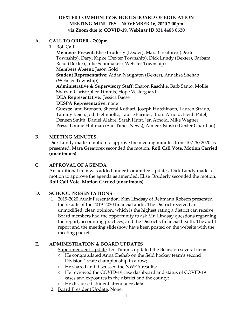#### **DEXTER COMMUNITY SCHOOLS BOARD OF EDUCATION MEETING MINUTES – NOVEMBER 16, 2020 7:00pm via Zoom due to COVID-19, Webinar ID 821 4488 0620**

#### **A. CALL TO ORDER - 7:00pm**

1. Roll Call

**Members Present:** Elise Bruderly (Dexter), Mara Greatorex (Dexter Township), Daryl Kipke (Dexter Township), Dick Lundy (Dexter), Barbara Read (Dexter), Julie Schumaker ( Webster Township)

**Members Absent:** Jason Gold

**Student Representative:** Aidan Naughton (Dexter), Annalisa Shehab (Webster Township)

**Administrative & Supervisory Staff:** Sharon Raschke, Barb Santo, Mollie Sharrar, Christopher Timmis, Hope Vestergaard

**DEA Representative:** Jessica Baese

#### **DESPA Representative:** none

**Guests:** Jami Bronson, Sheetal Kothari, Joseph Hutchinson, Lauren Straub, Tammy Reich, Jodi Helmholtz, Laurie Farmer, Brian Arnold, Heidi Patel, Deneen Smith, Daniel Alabré, Sarah Hunt, Jen Arnold, Mike Wagner **Press:** Lonnie Huhman (Sun Times News), Aimee Osinski (Dexter Guardian)

#### **B. MEETING MINUTES**

Dick Lundy made a motion to approve the meeting minutes from 10/26/2020 as presented. Mara Greatorex seconded the motion. **Roll Call Vote. Motion Carried (unanimous).**

#### **C. APPROVAL OF AGENDA**

An additional item was added under Committee Updates. Dick Lundy made a motion to approve the agenda as amended. Elise Bruderly seconded the motion. **Roll Call Vote. Motion Carried (unanimous).**

#### **D. SCHOOL PRESENTATIONS**

1. 2019-2020 Audit Presentation. Kim Lindsay of Rehmann Robson presented the results of the 2019-2020 financial audit. The District received an unmodified, clean opinion, which is the highest rating a district can receive. Board members had the opportunity to ask Mr. Lindsay questions regarding the report, accounting practices, and the District's financial health. The audit report and the meeting slideshow have been posted on the website with the meeting packet.

#### **E. ADMINISTRATION & BOARD UPDATES**

- 1. Superintendent Update. Dr. Timmis updated the Board on several items:
	- He congratulated Anna Shehab on the field hockey team's second Division 1 state championship in a row;
	- He shared and discussed the NWEA results;
	- He reviewed the COVID-19 case dashboard and status of COVID-19 cases and exposures in the district and the county;
	- He discussed student attendance data.
- 2. Board President Update. None.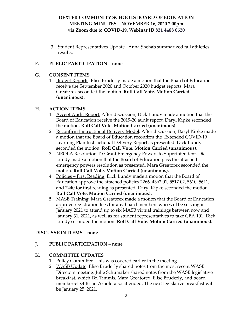#### **DEXTER COMMUNITY SCHOOLS BOARD OF EDUCATION MEETING MINUTES – NOVEMBER 16, 2020 7:00pm via Zoom due to COVID-19, Webinar ID 821 4488 0620**

3. Student Representatives Update. Anna Shehab summarized fall athletics results.

#### **F. PUBLIC PARTICIPATION – none**

#### **G. CONSENT ITEMS**

1. Budget Reports. Elise Bruderly made a motion that the Board of Education receive the September 2020 and October 2020 budget reports. Mara Greatorex seconded the motion. **Roll Call Vote. Motion Carried (unanimous).**

#### **H. ACTION ITEMS**

- 1. Accept Audit Report. After discussion, Dick Lundy made a motion that the Board of Education receive the 2019-20 audit report. Daryl Kipke seconded the motion. **Roll Call Vote. Motion Carried (unanimous).**
- 2. Reconfirm Instructional Delivery Model. After discussion, Daryl Kipke made a motion that the Board of Education reconfirm the Extended COVID-19 Learning Plan Instructional Delivery Report as presented. Dick Lundy seconded the motion. **Roll Call Vote. Motion Carried (unanimous).**
- 3. NEOLA Resolution To Grant Emergency Powers to Superintendent. Dick Lundy made a motion that the Board of Education pass the attached emergency powers resolution as presented. Mara Greatorex seconded the motion. **Roll Call Vote. Motion Carried (unanimous).**
- 4. Policies First Reading. Dick Lundy made a motion that the Board of Education approve the attached policies 2266, 4362.01, 5517.02, 5610, 5611, and 7440 for first reading as presented. Daryl Kipke seconded the motion. **Roll Call Vote. Motion Carried (unanimous).**
- 5. MASB Training. Mara Greatorex made a motion that the Board of Education approve registration fees for any board members who will be serving in January 2021 to attend up to six MASB virtual trainings between now and January 31, 2021, as well as for student representatives to take CBA 101. Dick Lundy seconded the motion. **Roll Call Vote. Motion Carried (unanimous).**

#### **DISCUSSION ITEMS – none**

#### **J. PUBLIC PARTICIPATION – none**

#### **K. COMMITTEE UPDATES**

- 1. Policy Committee. This was covered earlier in the meeting.
- 2. WASB Update. Elise Bruderly shared notes from the most recent WASB Directors meeting. Julie Schumaker shared notes from the WASB legislative breakfast, which Dr. Timmis, Mara Greatorex, Elise Bruderly, and board member-elect Brian Arnold also attended. The next legislative breakfast will be January 25, 2021.